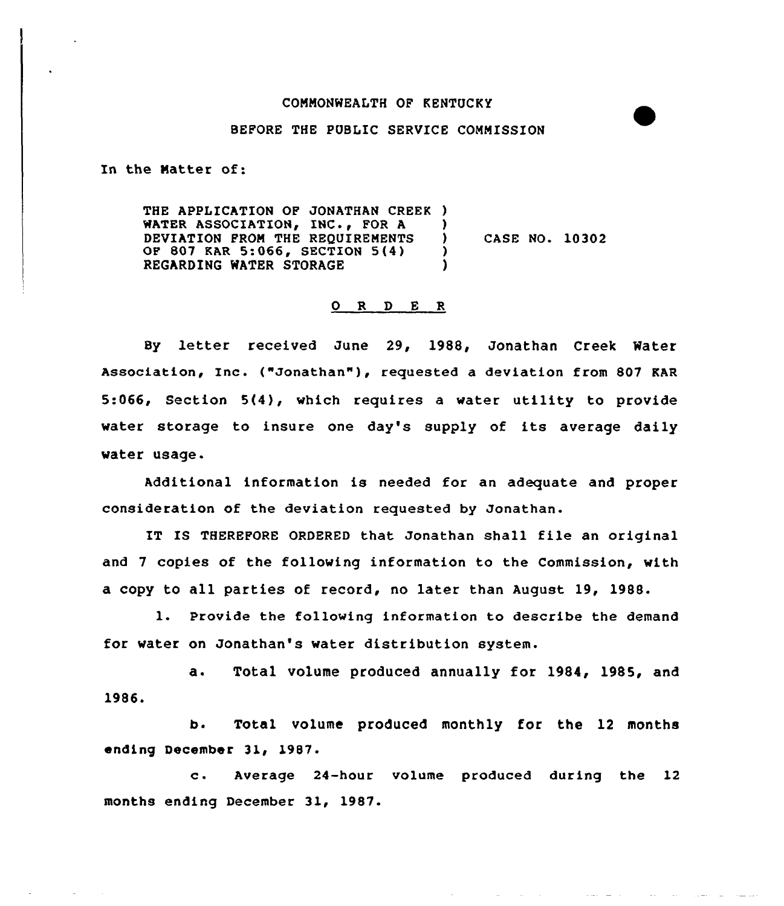## CONNONWEALTH OF KENTUCKY

## BEFORE THE PUBLIC SERVICE COMMISSION

In the Natter of:

THE APPLICATION OF JONATHAN CREEK ) WATER ASSOCIATION, INC., FOR  $A$  )<br>DEVIATION FROM THE REOUIREMENTS ) DEVIATION FROM THE REQUIREMENTS )<br>OF 807 KAR 5:066, SECTION 5(4) ) OF 807 KAR 5:066, SECTION 5(4) )<br>REGARDING WATER STORAGE REGARDING WATER STORAGE CASE NO. 10302

## 0 R <sup>D</sup> E R

By letter received June 29, 1988, Jonathan Creek Mater Association, Inc. ("Jonathan" ), requested <sup>a</sup> deviation from <sup>807</sup> KAR 5:066, Section 5(4), which requires a water utility to provide water storage to insure one day's supply of its average daily water usage.

Additional information is needed for an adequate and proper consideration of the deviation requested by Jonathan.

IT IS THEREFORE ORDERED that Jonathan shall file an original and 7 copies of the following information to the Commission, with a copy to all parties of record, no later than August 19, 1988.

1. Provide the following information to describe the demand for water on Jonathan's water distribution system.

a. Total volume produced annually for 1984, 1985, and 1986.

b. Total volume produced monthly for the 12 months ending December 31, 1987

Average 24-hour volume produced during the 12  $\mathbf{c}$ . months ending December 31, 1987.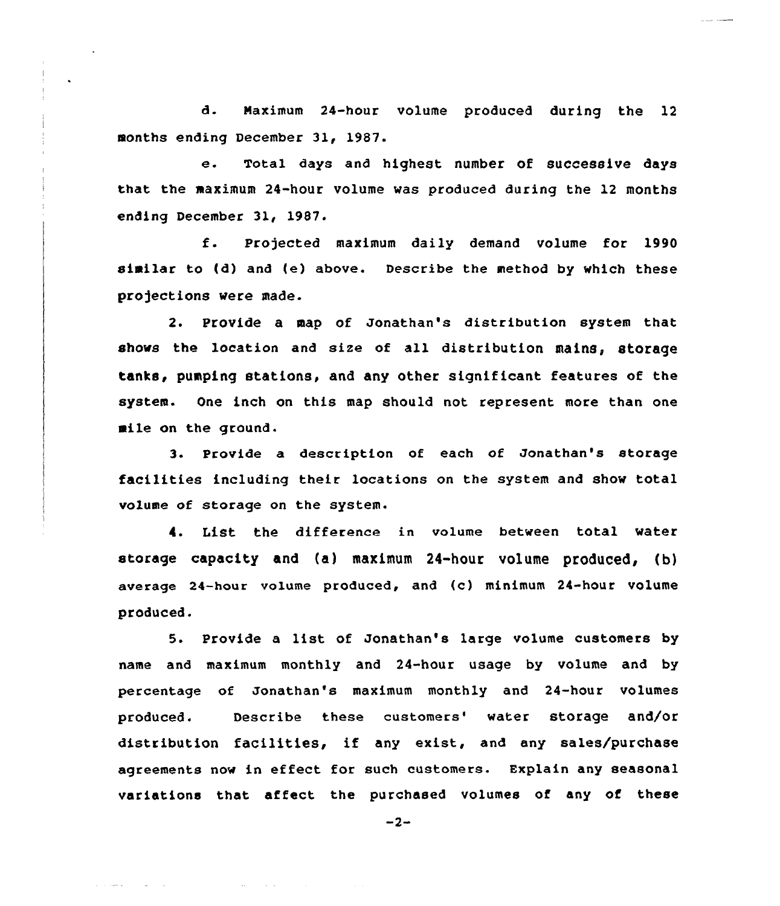d. Naximum 24-hour volume produced during the 12 months ending December 31, 1987.

e. Total days and highest number of successive days that the maximum 24-hour volume was produced during the 12 months ending December 31, 1987.

f. Projected maximum daily demand volume for <sup>1990</sup> similar to {d) and {e) above. Describe the method by which these projections were made.

2. Provide a map of Jonathan's distribution system that shows the location and size of all distribution mains, storage tanks, pumping stations, and any other significant features of the system. One inch on this map should not represent more than one mile on the ground.

3. Provide a description of each of Jonathan's storage facilities including their locations on the system and show total volume of storage on the system.

4. List the difference in volume between total water storage capacity and (a) maximum 24-hour volume produced, (b) average 24-hour volume produced, and (c) minimum 24-hour volume produced.

5. Provide <sup>a</sup> list of Jonathan's large volume customers by name and maximum monthly and 24-hour usage by volume and by percentage of Jonathan's maximum monthly and 24-hour volumes produced. Describe these customers' water storage and/or distribution facilities, if any exist, and any sales/purchase agreements now in effect for such customers. Explain any seasonal variations that affect the purchased volumes of any of these

 $-2-$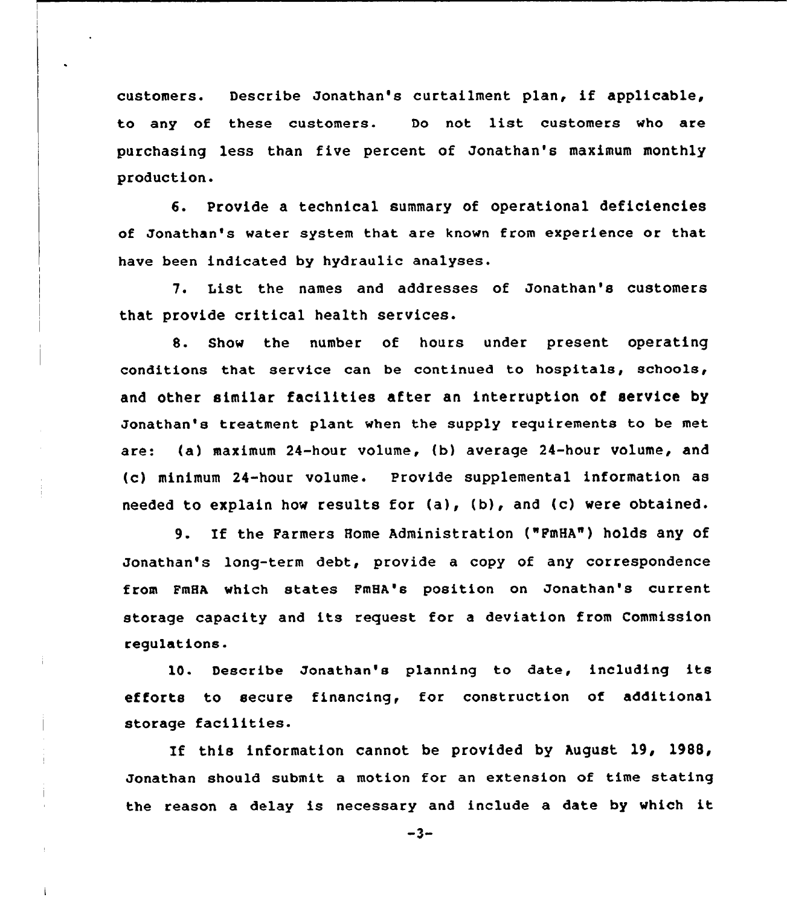customers. Describe Jonathan's curtailment plan, if applicable, to any of these customers. Do not list customers who are purchasing less than five percent of Jonathan's maximum monthly production.

6. Provide a technical summary of operational deficiencies of Jonathan's water system that are known from experience or that have been indicated by hydraulic analyses.

7. List the names and addresses of Jonathan's customers that provide critical health services.

8. Show the number of hours under present operating conditions that service can be continued to hospitals, schools, and other similar facilities after an interruption of service by Jonathan's treatment plant when the supply requirements to be met are: (a) maximum 24-hour volume, (b) average 24-hour volume, and (c) minimum 24-hour volume. Provide supplemental information as needed to explain how results for (a), (b), and (c) were obtained.

9. If the Farmers Home Administration ("PmHA") holds any of Jonathan's long-term debt, provide a copy of any correspondence from FmHA which states FmHA's position on Jonathan's current storage capacity and its request for <sup>a</sup> deviation from Commission regulations.

10. Describe Jonathan's planning to date, including its efforts to secure financing, for construction of additional storage facilities.

If this information cannot be provided by August 19, 1988, Jonathan should submit a motion for an extension of time stating the reason <sup>a</sup> delay is necessary and include <sup>a</sup> date by which it

 $-3-$